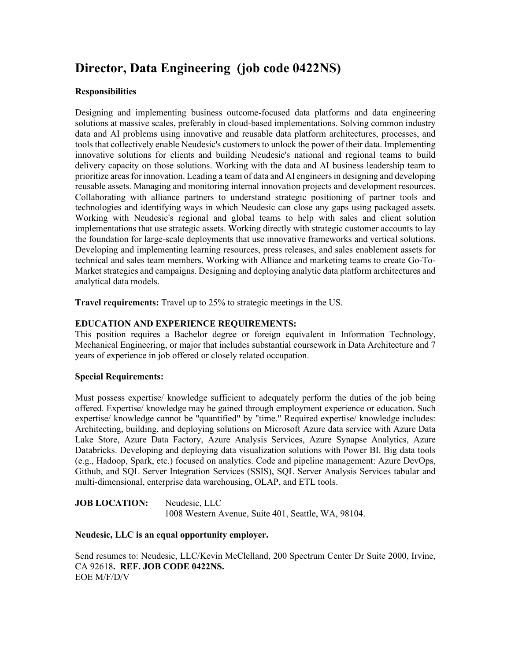# **Director, Data Engineering (job code 0422NS)**

#### **Responsibilities**

Designing and implementing business outcome-focused data platforms and data engineering solutions at massive scales, preferably in cloud-based implementations. Solving common industry data and AI problems using innovative and reusable data platform architectures, processes, and tools that collectively enable Neudesic's customers to unlock the power of their data. Implementing innovative solutions for clients and building Neudesic's national and regional teams to build delivery capacity on those solutions. Working with the data and AI business leadership team to prioritize areas for innovation. Leading a team of data and AI engineers in designing and developing reusable assets. Managing and monitoring internal innovation projects and development resources. Collaborating with alliance partners to understand strategic positioning of partner tools and technologies and identifying ways in which Neudesic can close any gaps using packaged assets. Working with Neudesic's regional and global teams to help with sales and client solution implementations that use strategic assets. Working directly with strategic customer accounts to lay the foundation for large-scale deployments that use innovative frameworks and vertical solutions. Developing and implementing learning resources, press releases, and sales enablement assets for technical and sales team members. Working with Alliance and marketing teams to create Go-To-Market strategies and campaigns. Designing and deploying analytic data platform architectures and analytical data models.

**Travel requirements:** Travel up to 25% to strategic meetings in the US.

## **EDUCATION AND EXPERIENCE REQUIREMENTS:**

This position requires a Bachelor degree or foreign equivalent in Information Technology, Mechanical Engineering, or major that includes substantial coursework in Data Architecture and 7 years of experience in job offered or closely related occupation.

#### **Special Requirements:**

Must possess expertise/ knowledge sufficient to adequately perform the duties of the job being offered. Expertise/ knowledge may be gained through employment experience or education. Such expertise/ knowledge cannot be "quantified" by "time." Required expertise/ knowledge includes: Architecting, building, and deploying solutions on Microsoft Azure data service with Azure Data Lake Store, Azure Data Factory, Azure Analysis Services, Azure Synapse Analytics, Azure Databricks. Developing and deploying data visualization solutions with Power BI. Big data tools (e.g., Hadoop, Spark, etc.) focused on analytics. Code and pipeline management: Azure DevOps, Github, and SQL Server Integration Services (SSIS), SQL Server Analysis Services tabular and multi-dimensional, enterprise data warehousing, OLAP, and ETL tools.

**JOB LOCATION:** Neudesic, LLC 1008 Western Avenue, Suite 401, Seattle, WA, 98104.

## **Neudesic, LLC is an equal opportunity employer.**

Send resumes to: Neudesic, LLC/Kevin McClelland, 200 Spectrum Center Dr Suite 2000, Irvine, CA 92618**. REF. JOB CODE 0422NS.** EOE M/F/D/V